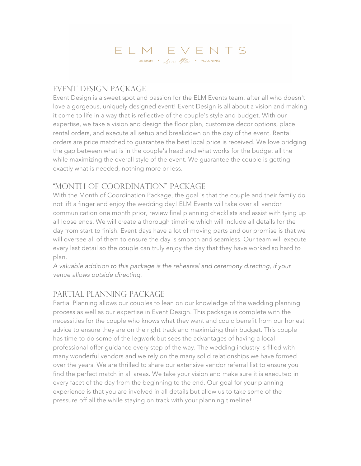# ELM EVENTS DESIGN .  $\sqrt{a}$ uren *Miller* . PLANNING

#### Event Design Package

Event Design is a sweet spot and passion for the ELM Events team, after all who doesn't love a gorgeous, uniquely designed event! Event Design is all about a vision and making it come to life in a way that is reflective of the couple's style and budget. With our expertise, we take a vision and design the floor plan, customize decor options, place rental orders, and execute all setup and breakdown on the day of the event. Rental orders are price matched to guarantee the best local price is received. We love bridging the gap between what is in the couple's head and what works for the budget all the while maximizing the overall style of the event. We guarantee the couple is getting exactly what is needed, nothing more or less.

### "Month Of Coordination" Package

With the Month of Coordination Package, the goal is that the couple and their family do not lift a finger and enjoy the wedding day! ELM Events will take over all vendor communication one month prior, review final planning checklists and assist with tying up all loose ends. We will create a thorough timeline which will include all details for the day from start to finish. Event days have a lot of moving parts and our promise is that we will oversee all of them to ensure the day is smooth and seamless. Our team will execute every last detail so the couple can truly enjoy the day that they have worked so hard to plan.

*A valuable addition to this package is the rehearsal and ceremony directing, if your venue allows outside directing*.

## Partial Planning Package

Partial Planning allows our couples to lean on our knowledge of the wedding planning process as well as our expertise in Event Design. This package is complete with the necessities for the couple who knows what they want and could benefit from our honest advice to ensure they are on the right track and maximizing their budget. This couple has time to do some of the legwork but sees the advantages of having a local professional offer guidance every step of the way. The wedding industry is filled with many wonderful vendors and we rely on the many solid relationships we have formed over the years. We are thrilled to share our extensive vendor referral list to ensure you find the perfect match in all areas. We take your vision and make sure it is executed in every facet of the day from the beginning to the end. Our goal for your planning experience is that you are involved in all details but allow us to take some of the pressure off all the while staying on track with your planning timeline!